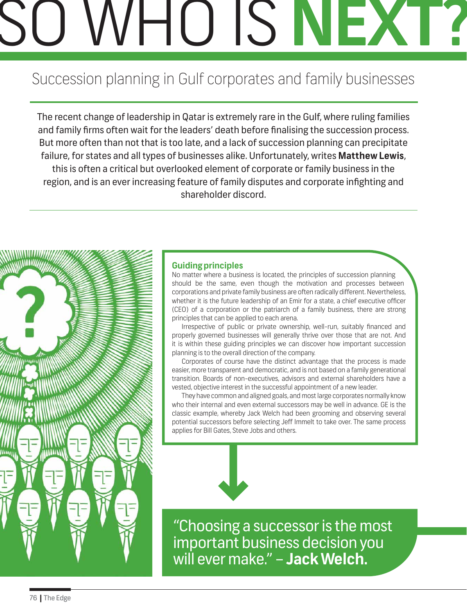# SO WHO IS **NEXT?**

# Succession planning in Gulf corporates and family businesses

The recent change of leadership in Qatar is extremely rare in the Gulf, where ruling families and family firms often wait for the leaders' death before finalising the succession process. But more often than not that is too late, and a lack of succession planning can precipitate failure, for states and all types of businesses alike. Unfortunately, writes **Matthew Lewis**, this is often a critical but overlooked element of corporate or family business in the region, and is an ever increasing feature of family disputes and corporate infighting and shareholder discord.



## **Guiding principles**

No matter where a business is located, the principles of succession planning should be the same, even though the motivation and processes between corporations and private family business are often radically different. Nevertheless, whether it is the future leadership of an Emir for a state, a chief executive officer (CEO) of a corporation or the patriarch of a family business, there are strong principles that can be applied to each arena.

Irrespective of public or private ownership, well-run, suitably financed and properly governed businesses will generally thrive over those that are not. And it is within these guiding principles we can discover how important succession planning is to the overall direction of the company.

Corporates of course have the distinct advantage that the process is made easier, more transparent and democratic, and is not based on a family generational transition. Boards of non-executives, advisors and external shareholders have a vested, objective interest in the successful appointment of a new leader.

They have common and aligned goals, and most large corporates normally know who their internal and even external successors may be well in advance. GE is the classic example, whereby Jack Welch had been grooming and observing several potential successors before selecting Jeff Immelt to take over. The same process applies for Bill Gates, Steve Jobs and others.



"Choosing a successor is the most important business decision you will ever make." – **Jack Welch.**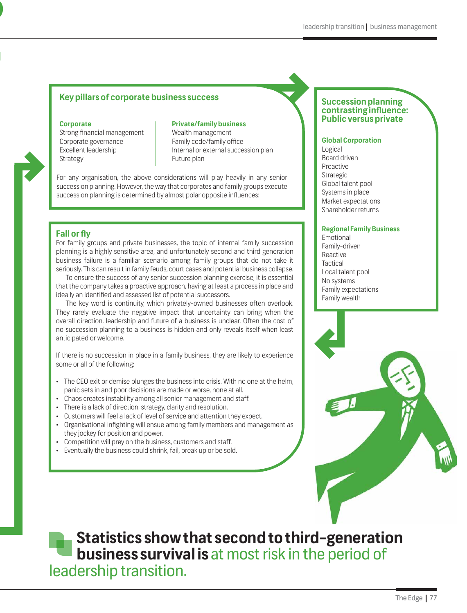## **Key pillars of corporate business success <br>
Succession planning**

SO WHO IS **NEXT?**

Strong financial management Corporate governance Excellent leadership Strategy

Wealth management Family code/family office Internal or external succession plan Future plan

For any organisation, the above considerations will play heavily in any senior succession planning. However, the way that corporates and family groups execute succession planning is determined by almost polar opposite influences:

#### **Fall or fly**

For family groups and private businesses, the topic of internal family succession planning is a highly sensitive area, and unfortunately second and third generation business failure is a familiar scenario among family groups that do not take it seriously. This can result in family feuds, court cases and potential business collapse.

To ensure the success of any senior succession planning exercise, it is essential that the company takes a proactive approach, having at least a process in place and ideally an identified and assessed list of potential successors.

The key word is continuity, which privately-owned businesses often overlook. They rarely evaluate the negative impact that uncertainty can bring when the overall direction, leadership and future of a business is unclear. Often the cost of no succession planning to a business is hidden and only reveals itself when least anticipated or welcome.

If there is no succession in place in a family business, they are likely to experience some or all of the following:

- The CEO exit or demise plunges the business into crisis. With no one at the helm, panic sets in and poor decisions are made or worse, none at all.
- Chaos creates instability among all senior management and staff.
- There is a lack of direction, strategy, clarity and resolution.
- • Customers will feel a lack of level of service and attention they expect.
- • Organisational infighting will ensue among family members and management as they jockey for position and power.
- Competition will prey on the business, customers and staff.
- • Eventually the business could shrink, fail, break up or be sold.

## **contrasting influence: Public versus private Corporate Private/family business**

#### **Global Corporation**

Logical Board driven Proactive Strategic Global talent pool Systems in place Market expectations Shareholder returns

#### **Regional Family Business**

Emotional Family-driven Reactive **Tactical** Local talent pool No systems Family expectations Family wealth



**Statistics show that second to third-generation business survival is** at most risk in the period of leadership transition.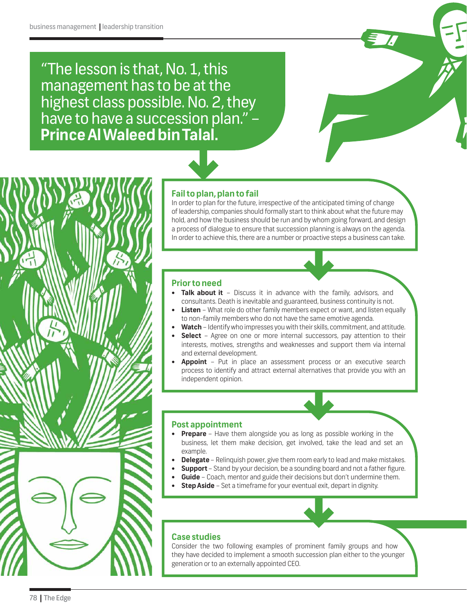"The lesson is that, No. 1, this management has to be at the highest class possible. No. 2, they have to have a succession plan." – **Prince Al Waleed bin Talal.**



### **Fail to plan, plan to fail**

In order to plan for the future, irrespective of the anticipated timing of change of leadership, companies should formally start to think about what the future may hold, and how the business should be run and by whom going forward, and design a process of dialogue to ensure that succession planning is always on the agenda. In order to achieve this, there are a number or proactive steps a business can take.

#### **Prior to need**

- **Talk about it** Discuss it in advance with the family, advisors, and consultants. Death is inevitable and guaranteed, business continuity is not.
- **Listen** What role do other family members expect or want, and listen equally to non-family members who do not have the same emotive agenda.
- **Watch** Identify who impresses you with their skills, commitment, and attitude.
- **Select** Agree on one or more internal successors, pay attention to their interests, motives, strengths and weaknesses and support them via internal and external development.
- **Appoint** Put in place an assessment process or an executive search process to identify and attract external alternatives that provide you with an independent opinion.

#### **Post appointment**

- **Prepare** Have them alongside you as long as possible working in the business, let them make decision, get involved, take the lead and set an example.
- **Delegate** Relinquish power, give them room early to lead and make mistakes.
- **Support** Stand by your decision, be a sounding board and not a father figure.
- **Guide** Coach, mentor and guide their decisions but don't undermine them.
- **Step Aside** Set a timeframe for your eventual exit, depart in dignity.

#### **Case studies**

Consider the two following examples of prominent family groups and how they have decided to implement a smooth succession plan either to the younger generation or to an externally appointed CEO.